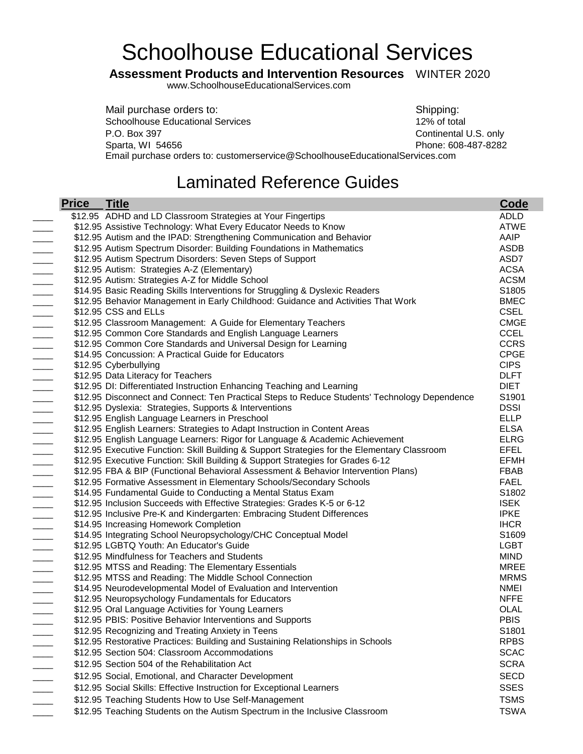## Schoolhouse Educational Services

## **Assessment Products and Intervention Resources** WINTER 2020

[www.SchoolhouseEducationalServices.com](http://www.schoolhouseeducationalservices.com/)

Mail purchase orders to: Shipping: Shipping: Schoolhouse Educational Services 12% of total P.O. Box 397 Continental U.S. only Sparta, WI 54656 **Phone: 608-487-8282** Email purchase orders to: customerservice@SchoolhouseEducationalServices.com

## Laminated Reference Guides

| <b>Price</b> | <b>Title</b>                                                                                                      | Code                       |
|--------------|-------------------------------------------------------------------------------------------------------------------|----------------------------|
|              | \$12.95 ADHD and LD Classroom Strategies at Your Fingertips                                                       | <b>ADLD</b>                |
|              | \$12.95 Assistive Technology: What Every Educator Needs to Know                                                   | <b>ATWE</b>                |
|              | \$12.95 Autism and the IPAD: Strengthening Communication and Behavior                                             | AAIP                       |
|              | \$12.95 Autism Spectrum Disorder: Building Foundations in Mathematics                                             | ASDB                       |
|              | \$12.95 Autism Spectrum Disorders: Seven Steps of Support                                                         | ASD7                       |
|              | \$12.95 Autism: Strategies A-Z (Elementary)                                                                       | <b>ACSA</b>                |
|              | \$12.95 Autism: Strategies A-Z for Middle School                                                                  | <b>ACSM</b>                |
|              | \$14.95 Basic Reading Skills Interventions for Struggling & Dyslexic Readers                                      | S1805                      |
|              | \$12.95 Behavior Management in Early Childhood: Guidance and Activities That Work                                 | <b>BMEC</b>                |
|              | \$12.95 CSS and ELLs                                                                                              | <b>CSEL</b>                |
|              | \$12.95 Classroom Management: A Guide for Elementary Teachers                                                     | <b>CMGE</b>                |
|              | \$12.95 Common Core Standards and English Language Learners                                                       | <b>CCEL</b>                |
|              | \$12.95 Common Core Standards and Universal Design for Learning                                                   | <b>CCRS</b>                |
|              | \$14.95 Concussion: A Practical Guide for Educators                                                               | <b>CPGE</b>                |
|              | \$12.95 Cyberbullying                                                                                             | <b>CIPS</b>                |
|              | \$12.95 Data Literacy for Teachers                                                                                | <b>DLFT</b>                |
|              | \$12.95 DI: Differentiated Instruction Enhancing Teaching and Learning                                            | <b>DIET</b>                |
|              | \$12.95 Disconnect and Connect: Ten Practical Steps to Reduce Students' Technology Dependence                     | S1901                      |
|              | \$12.95 Dyslexia: Strategies, Supports & Interventions                                                            | <b>DSSI</b>                |
|              | \$12.95 English Language Learners in Preschool                                                                    | <b>ELLP</b>                |
|              | \$12.95 English Learners: Strategies to Adapt Instruction in Content Areas                                        | <b>ELSA</b>                |
|              | \$12.95 English Language Learners: Rigor for Language & Academic Achievement                                      | <b>ELRG</b>                |
|              | \$12.95 Executive Function: Skill Building & Support Strategies for the Elementary Classroom                      | EFEL                       |
|              | \$12.95 Executive Function: Skill Building & Support Strategies for Grades 6-12                                   | <b>EFMH</b>                |
|              | \$12.95 FBA & BIP (Functional Behavioral Assessment & Behavior Intervention Plans)                                | <b>FBAB</b>                |
|              | \$12.95 Formative Assessment in Elementary Schools/Secondary Schools                                              | <b>FAEL</b>                |
|              | \$14.95 Fundamental Guide to Conducting a Mental Status Exam                                                      | S <sub>1802</sub>          |
|              | \$12.95 Inclusion Succeeds with Effective Strategies: Grades K-5 or 6-12                                          | <b>ISEK</b><br><b>IPKE</b> |
|              | \$12.95 Inclusive Pre-K and Kindergarten: Embracing Student Differences<br>\$14.95 Increasing Homework Completion | <b>IHCR</b>                |
|              | \$14.95 Integrating School Neuropsychology/CHC Conceptual Model                                                   | S1609                      |
|              | \$12.95 LGBTQ Youth: An Educator's Guide                                                                          | <b>LGBT</b>                |
|              | \$12.95 Mindfulness for Teachers and Students                                                                     | <b>MIND</b>                |
|              | \$12.95 MTSS and Reading: The Elementary Essentials                                                               | <b>MREE</b>                |
|              | \$12.95 MTSS and Reading: The Middle School Connection                                                            | <b>MRMS</b>                |
|              | \$14.95 Neurodevelopmental Model of Evaluation and Intervention                                                   | <b>NMEI</b>                |
|              | \$12.95 Neuropsychology Fundamentals for Educators                                                                | <b>NFFE</b>                |
|              | \$12.95 Oral Language Activities for Young Learners                                                               | OLAL                       |
|              | \$12.95 PBIS: Positive Behavior Interventions and Supports                                                        | <b>PBIS</b>                |
|              | \$12.95 Recognizing and Treating Anxiety in Teens                                                                 | S1801                      |
|              | \$12.95 Restorative Practices: Building and Sustaining Relationships in Schools                                   | <b>RPBS</b>                |
|              | \$12.95 Section 504: Classroom Accommodations                                                                     | <b>SCAC</b>                |
|              | \$12.95 Section 504 of the Rehabilitation Act                                                                     | <b>SCRA</b>                |
|              | \$12.95 Social, Emotional, and Character Development                                                              | <b>SECD</b>                |
|              |                                                                                                                   | <b>SSES</b>                |
|              | \$12.95 Social Skills: Effective Instruction for Exceptional Learners                                             |                            |
|              | \$12.95 Teaching Students How to Use Self-Management                                                              | <b>TSMS</b>                |
|              | \$12.95 Teaching Students on the Autism Spectrum in the Inclusive Classroom                                       | <b>TSWA</b>                |